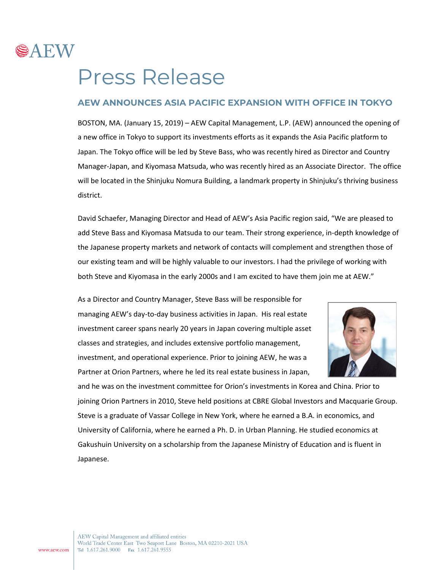

## Press Release

## **AEW ANNOUNCES ASIA PACIFIC EXPANSION WITH OFFICE IN TOKYO**

BOSTON, MA. (January 15, 2019) – AEW Capital Management, L.P. (AEW) announced the opening of a new office in Tokyo to support its investments efforts as it expands the Asia Pacific platform to Japan. The Tokyo office will be led by Steve Bass, who was recently hired as Director and Country Manager-Japan, and Kiyomasa Matsuda, who was recently hired as an Associate Director. The office will be located in the Shinjuku Nomura Building, a landmark property in Shinjuku's thriving business district.

David Schaefer, Managing Director and Head of AEW's Asia Pacific region said, "We are pleased to add Steve Bass and Kiyomasa Matsuda to our team. Their strong experience, in-depth knowledge of the Japanese property markets and network of contacts will complement and strengthen those of our existing team and will be highly valuable to our investors. I had the privilege of working with both Steve and Kiyomasa in the early 2000s and I am excited to have them join me at AEW."

As a Director and Country Manager, Steve Bass will be responsible for managing AEW's day-to-day business activities in Japan. His real estate investment career spans nearly 20 years in Japan covering multiple asset classes and strategies, and includes extensive portfolio management, investment, and operational experience. Prior to joining AEW, he was a Partner at Orion Partners, where he led its real estate business in Japan,



and he was on the investment committee for Orion's investments in Korea and China. Prior to joining Orion Partners in 2010, Steve held positions at CBRE Global Investors and Macquarie Group. Steve is a graduate of Vassar College in New York, where he earned a B.A. in economics, and University of California, where he earned a Ph. D. in Urban Planning. He studied economics at Gakushuin University on a scholarship from the Japanese Ministry of Education and is fluent in Japanese.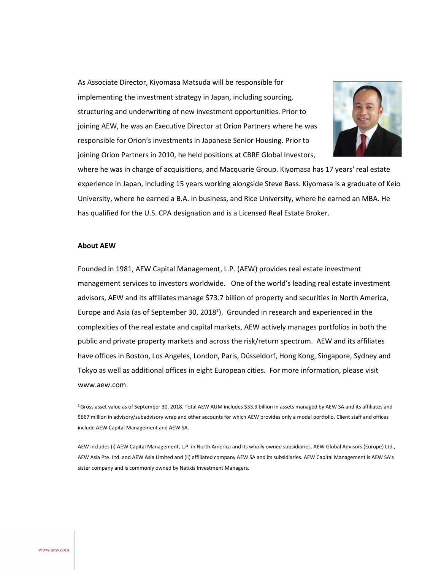As Associate Director, Kiyomasa Matsuda will be responsible for implementing the investment strategy in Japan, including sourcing, structuring and underwriting of new investment opportunities. Prior to joining AEW, he was an Executive Director at Orion Partners where he was responsible for Orion's investments in Japanese Senior Housing. Prior to joining Orion Partners in 2010, he held positions at CBRE Global Investors,



where he was in charge of acquisitions, and Macquarie Group. Kiyomasa has 17 years' real estate experience in Japan, including 15 years working alongside Steve Bass. Kiyomasa is a graduate of Keio University, where he earned a B.A. in business, and Rice University, where he earned an MBA. He has qualified for the U.S. CPA designation and is a Licensed Real Estate Broker.

## **About AEW**

Founded in 1981, AEW Capital Management, L.P. (AEW) provides real estate investment management services to investors worldwide. One of the world's leading real estate investment advisors, AEW and its affiliates manage \$73.7 billion of property and securities in North America, Europe and Asia (as of September 30, 2018<sup>1</sup>). Grounded in research and experienced in the complexities of the real estate and capital markets, AEW actively manages portfolios in both the public and private property markets and across the risk/return spectrum. AEW and its affiliates have offices in Boston, Los Angeles, London, Paris, Düsseldorf, Hong Kong, Singapore, Sydney and Tokyo as well as additional offices in eight European cities. For more information, please visit www.aew.com.

 $16$  Gross asset value as of September 30, 2018. Total AEW AUM includes \$33.9 billion in assets managed by AEW SA and its affiliates and \$667 million in advisory/subadvisory wrap and other accounts for which AEW provides only a model portfolio. Client staff and offices include AEW Capital Management and AEW SA.

AEW includes (i) AEW Capital Management, L.P. in North America and its wholly owned subsidiaries, AEW Global Advisors (Europe) Ltd., AEW Asia Pte. Ltd. and AEW Asia Limited and (ii) affiliated company AEW SA and its subsidiaries. AEW Capital Management is AEW SA's sister company and is commonly owned by Natixis Investment Managers.